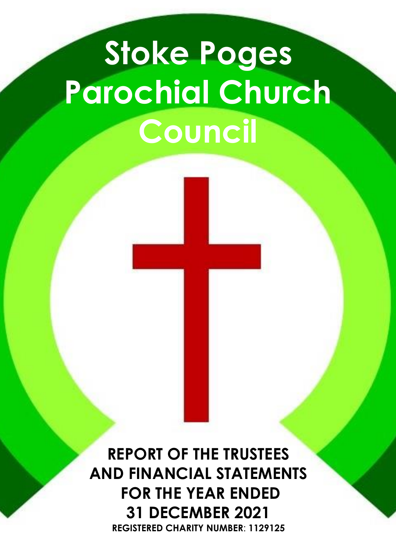# **Stoke Poges Parochial Church Council**

**REPORT OF THE TRUSTEES AND FINANCIAL STATEMENTS FOR THE YEAR ENDED 31 DECEMBER 2021 REGISTERED CHARITY NUMBER**: **1129125**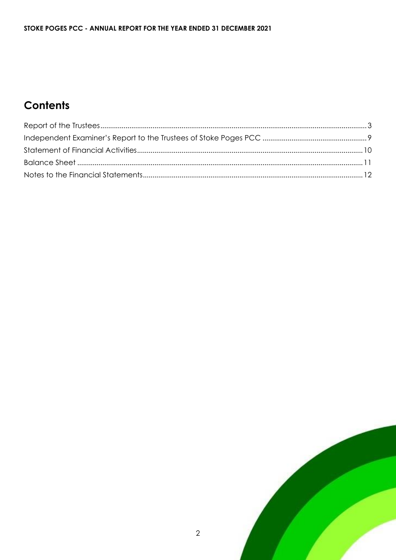# **Contents**

 $\overline{2}$ 

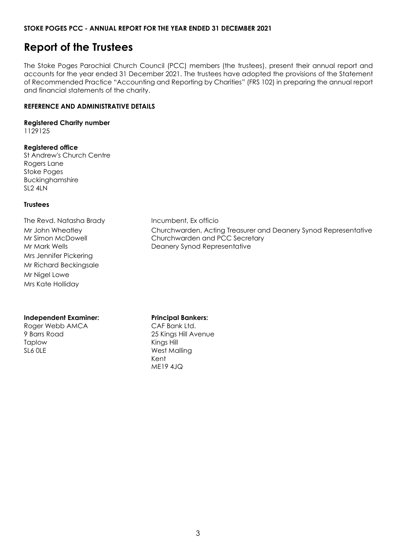# <span id="page-2-0"></span>**Report of the Trustees**

The Stoke Poges Parochial Church Council (PCC) members (the trustees), present their annual report and accounts for the year ended 31 December 2021. The trustees have adopted the provisions of the Statement of Recommended Practice "Accounting and Reporting by Charities" (FRS 102) in preparing the annual report and financial statements of the charity.

#### **REFERENCE AND ADMINISTRATIVE DETAILS**

#### **Registered Charity number**

1129125

#### **Registered office**

St Andrew's Church Centre Rogers Lane Stoke Poges Buckinghamshire SL2 4LN

#### **Trustees**

The Revd. Natasha Brady Incumbent, Ex officio Mrs Jennifer Pickering Mr Richard Beckingsale Mr Nigel Lowe Mrs Kate Holliday

#### **Independent Examiner:**

Roger Webb AMCA 9 Barrs Road Taplow SL6 0LE

Mr John Wheatley Churchwarden, Acting Treasurer and Deanery Synod Representative Mr Simon McDowell **Churchwarden and PCC Secretary** Mr Mark Wells **Mr Mark Wells** Deanery Synod Representative

#### **Principal Bankers:**

CAF Bank Ltd. 25 Kings Hill Avenue Kings Hill West Malling Kent ME19 4JQ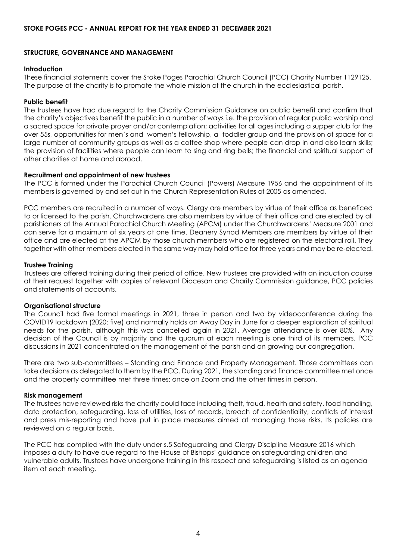#### **STRUCTURE, GOVERNANCE AND MANAGEMENT**

#### **Introduction**

These financial statements cover the Stoke Poges Parochial Church Council (PCC) Charity Number 1129125. The purpose of the charity is to promote the whole mission of the church in the ecclesiastical parish.

#### **Public benefit**

The trustees have had due regard to the Charity Commission Guidance on public benefit and confirm that the charity's objectives benefit the public in a number of ways i.e. the provision of regular public worship and a sacred space for private prayer and/or contemplation; activities for all ages including a supper club for the over 55s, opportunities for men's and women's fellowship, a toddler group and the provision of space for a large number of community groups as well as a coffee shop where people can drop in and also learn skills; the provision of facilities where people can learn to sing and ring bells; the financial and spiritual support of other charities at home and abroad.

#### **Recruitment and appointment of new trustees**

The PCC is formed under the Parochial Church Council (Powers) Measure 1956 and the appointment of its members is governed by and set out in the Church Representation Rules of 2005 as amended.

PCC members are recruited in a number of ways. Clergy are members by virtue of their office as beneficed to or licensed to the parish. Churchwardens are also members by virtue of their office and are elected by all parishioners at the Annual Parochial Church Meeting (APCM) under the Churchwardens' Measure 2001 and can serve for a maximum of six years at one time. Deanery Synod Members are members by virtue of their office and are elected at the APCM by those church members who are registered on the electoral roll. They together with other members elected in the same way may hold office for three years and may be re-elected.

#### **Trustee Training**

Trustees are offered training during their period of office. New trustees are provided with an induction course at their request together with copies of relevant Diocesan and Charity Commission guidance, PCC policies and statements of accounts.

#### **Organisational structure**

The Council had five formal meetings in 2021, three in person and two by videoconference during the COVID19 lockdown (2020: five) and normally holds an Away Day in June for a deeper exploration of spiritual needs for the parish, although this was cancelled again in 2021. Average attendance is over 80%. Any decision of the Council is by majority and the quorum at each meeting is one third of its members. PCC discussions in 2021 concentrated on the management of the parish and on growing our congregation.

There are two sub-committees – Standing and Finance and Property Management. Those committees can take decisions as delegated to them by the PCC. During 2021, the standing and finance committee met once and the property committee met three times: once on Zoom and the other times in person.

#### **Risk management**

The trustees have reviewed risks the charity could face including theft, fraud, health and safety, food handling, data protection, safeguarding, loss of utilities, loss of records, breach of confidentiality, conflicts of interest and press mis-reporting and have put in place measures aimed at managing those risks. Its policies are reviewed on a regular basis.

The PCC has complied with the duty under s.5 Safeguarding and Clergy Discipline Measure 2016 which imposes a duty to have due regard to the House of Bishops' guidance on safeguarding children and vulnerable adults. Trustees have undergone training in this respect and safeguarding is listed as an agenda item at each meeting.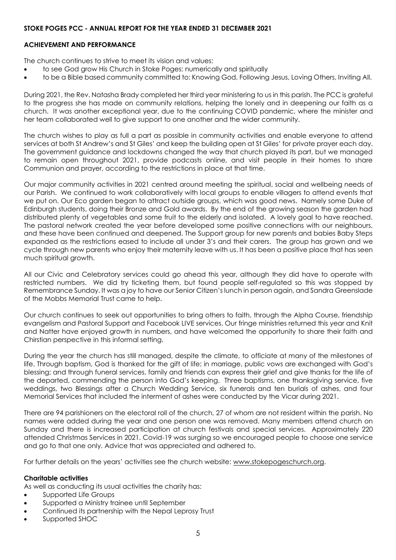#### **ACHIEVEMENT AND PERFORMANCE**

The church continues to strive to meet its vision and values:

- to see God grow His Church in Stoke Poges: numerically and spiritually
- to be a Bible based community committed to: Knowing God, Following Jesus, Loving Others, Inviting All.

During 2021, the Rev. Natasha Brady completed her third year ministering to us in this parish. The PCC is grateful to the progress she has made on community relations, helping the lonely and in deepening our faith as a church. It was another exceptional year, due to the continuing COVID pandemic, where the minister and her team collaborated well to give support to one another and the wider community.

The church wishes to play as full a part as possible in community activities and enable everyone to attend services at both St Andrew's and St Giles' and keep the building open at St Giles' for private prayer each day. The government guidance and lockdowns changed the way that church played its part, but we managed to remain open throughout 2021, provide podcasts online, and visit people in their homes to share Communion and prayer, according to the restrictions in place at that time.

Our major community activities in 2021 centred around meeting the spiritual, social and wellbeing needs of our Parish. We continued to work collaboratively with local groups to enable villagers to attend events that we put on. Our Eco garden began to attract outside groups, which was good news. Namely some Duke of Edinburgh students, doing their Bronze and Gold awards. By the end of the growing season the garden had distributed plenty of vegetables and some fruit to the elderly and isolated. A lovely goal to have reached. The pastoral network created the year before developed some positive connections with our neighbours, and these have been continued and deepened. The Support group for new parents and babies Baby Steps expanded as the restrictions eased to include all under 3's and their carers. The group has grown and we cycle through new parents who enjoy their maternity leave with us. It has been a positive place that has seen much spiritual growth.

All our Civic and Celebratory services could go ahead this year, although they did have to operate with restricted numbers. We did try ticketing them, but found people self-regulated so this was stopped by Remembrance Sunday. It was a joy to have our Senior Citizen's lunch in person again, and Sandra Greenslade of the Mobbs Memorial Trust came to help.

Our church continues to seek out opportunities to bring others to faith, through the Alpha Course, friendship evangelism and Pastoral Support and Facebook LIVE services. Our fringe ministries returned this year and Knit and Natter have enjoyed growth in numbers, and have welcomed the opportunity to share their faith and Chirstian perspective in this informal setting.

During the year the church has still managed, despite the climate, to officiate at many of the milestones of life. Through baptism, God is thanked for the gift of life; in marriage, public vows are exchanged with God's blessing; and through funeral services, family and friends can express their grief and give thanks for the life of the departed, commending the person into God's keeping. Three baptisms, one thanksgiving service, five weddings, two Blessings after a Church Wedding Service, six funerals and ten burials of ashes, and four Memorial Services that included the interment of ashes were conducted by the Vicar during 2021.

There are 94 parishioners on the electoral roll of the church, 27 of whom are not resident within the parish. No names were added during the year and one person one was removed. Many members attend church on Sunday and there is increased participation at church festivals and special services. Approximately 220 attended Christmas Services in 2021. Covid-19 was surging so we encouraged people to choose one service and go to that one only. Advice that was appreciated and adhered to.

For further details on the years' activities see the church website: [www.stokepogeschurch.org.](http://www.stokepogeschurch.org/)

#### **Charitable activities**

As well as conducting its usual activities the charity has:

- Supported Life Groups
- Supported a Ministry trainee until September
- Continued its partnership with the Nepal Leprosy Trust
- Supported SHOC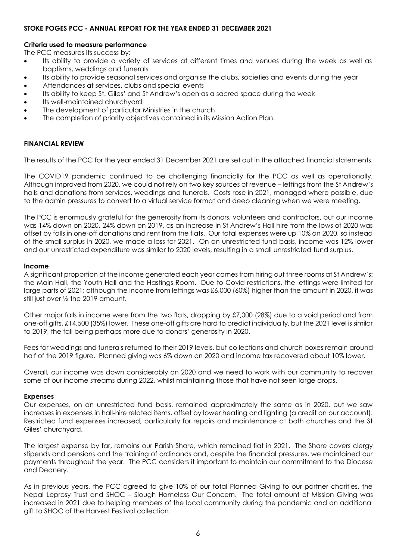#### **Criteria used to measure performance**

The PCC measures its success by:

- Its ability to provide a variety of services at different times and venues during the week as well as baptisms, weddings and funerals
- Its ability to provide seasonal services and organise the clubs, societies and events during the year
- Attendances at services, clubs and special events
- Its ability to keep St. Giles' and St Andrew's open as a sacred space during the week
- Its well-maintained churchyard
- The development of particular Ministries in the church
- The completion of priority objectives contained in its Mission Action Plan.

#### **FINANCIAL REVIEW**

The results of the PCC for the year ended 31 December 2021 are set out in the attached financial statements.

The COVID19 pandemic continued to be challenging financially for the PCC as well as operationally. Although improved from 2020, we could not rely on two key sources of revenue – lettings from the St Andrew's halls and donations from services, weddings and funerals. Costs rose in 2021, managed where possible, due to the admin pressures to convert to a virtual service format and deep cleaning when we were meeting.

The PCC is enormously grateful for the generosity from its donors, volunteers and contractors, but our income was 14% down on 2020, 24% down on 2019, as an increase in St Andrew's Hall hire from the lows of 2020 was offset by falls in one-off donations and rent from the flats. Our total expenses were up 10% on 2020, so instead of the small surplus in 2020, we made a loss for 2021. On an unrestricted fund basis, income was 12% lower and our unrestricted expenditure was similar to 2020 levels, resulting in a small unrestricted fund surplus.

#### **Income**

A significant proportion of the income generated each year comes from hiring out three rooms at St Andrew's: the Main Hall, the Youth Hall and the Hastings Room. Due to Covid restrictions, the lettings were limited for large parts of 2021; although the income from lettings was £6,000 (60%) higher than the amount in 2020, it was still just over ½ the 2019 amount.

Other major falls in income were from the two flats, dropping by £7,000 (28%) due to a void period and from one-off gifts, £14,500 (35%) lower. These one-off gifts are hard to predict individually, but the 2021 level is similar to 2019, the fall being perhaps more due to donors' generosity in 2020.

Fees for weddings and funerals returned to their 2019 levels, but collections and church boxes remain around half of the 2019 figure. Planned giving was 6% down on 2020 and income tax recovered about 10% lower.

Overall, our income was down considerably on 2020 and we need to work with our community to recover some of our income streams during 2022, whilst maintaining those that have not seen large drops.

#### **Expenses**

Our expenses, on an unrestricted fund basis, remained approximately the same as in 2020, but we saw increases in expenses in hall-hire related items, offset by lower heating and lighting (a credit on our account). Restricted fund expenses increased, particularly for repairs and maintenance at both churches and the St Giles' churchyard.

The largest expense by far, remains our Parish Share, which remained flat in 2021. The Share covers clergy stipends and pensions and the training of ordinands and, despite the financial pressures, we maintained our payments throughout the year. The PCC considers it important to maintain our commitment to the Diocese and Deanery.

As in previous years, the PCC agreed to give 10% of our total Planned Giving to our partner charities, the Nepal Leprosy Trust and SHOC – Slough Homeless Our Concern. The total amount of Mission Giving was increased in 2021 due to helping members of the local community during the pandemic and an additional gift to SHOC of the Harvest Festival collection.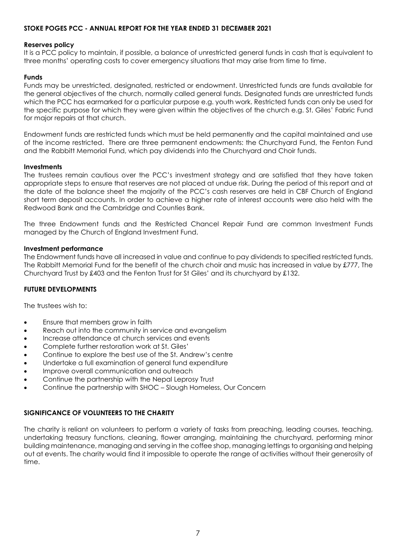#### **Reserves policy**

It is a PCC policy to maintain, if possible, a balance of unrestricted general funds in cash that is equivalent to three months' operating costs to cover emergency situations that may arise from time to time.

#### **Funds**

Funds may be unrestricted, designated, restricted or endowment. Unrestricted funds are funds available for the general objectives of the church, normally called general funds. Designated funds are unrestricted funds which the PCC has earmarked for a particular purpose e.g. youth work. Restricted funds can only be used for the specific purpose for which they were given within the objectives of the church e.g. St. Giles' Fabric Fund for major repairs at that church.

Endowment funds are restricted funds which must be held permanently and the capital maintained and use of the income restricted. There are three permanent endowments: the Churchyard Fund, the Fenton Fund and the Rabbitt Memorial Fund, which pay dividends into the Churchyard and Choir funds.

#### **Investments**

The trustees remain cautious over the PCC's investment strategy and are satisfied that they have taken appropriate steps to ensure that reserves are not placed at undue risk. During the period of this report and at the date of the balance sheet the majority of the PCC's cash reserves are held in CBF Church of England short term deposit accounts. In order to achieve a higher rate of interest accounts were also held with the Redwood Bank and the Cambridge and Counties Bank.

The three Endowment funds and the Restricted Chancel Repair Fund are common Investment Funds managed by the Church of England Investment Fund.

#### **Investment performance**

The Endowment funds have all increased in value and continue to pay dividends to specified restricted funds. The Rabbitt Memorial Fund for the benefit of the church choir and music has increased in value by £777, The Churchyard Trust by £403 and the Fenton Trust for St Giles' and its churchyard by £132.

#### **FUTURE DEVELOPMENTS**

The trustees wish to:

- Ensure that members grow in faith
- Reach out into the community in service and evangelism
- Increase attendance at church services and events
- Complete further restoration work at St. Giles'
- Continue to explore the best use of the St. Andrew's centre
- Undertake a full examination of general fund expenditure
- Improve overall communication and outreach
- Continue the partnership with the Nepal Leprosy Trust
- Continue the partnership with SHOC Slough Homeless, Our Concern

#### **SIGNIFICANCE OF VOLUNTEERS TO THE CHARITY**

The charity is reliant on volunteers to perform a variety of tasks from preaching, leading courses, teaching, undertaking treasury functions, cleaning, flower arranging, maintaining the churchyard, performing minor building maintenance, managing and serving in the coffee shop, managing lettings to organising and helping out at events. The charity would find it impossible to operate the range of activities without their generosity of time.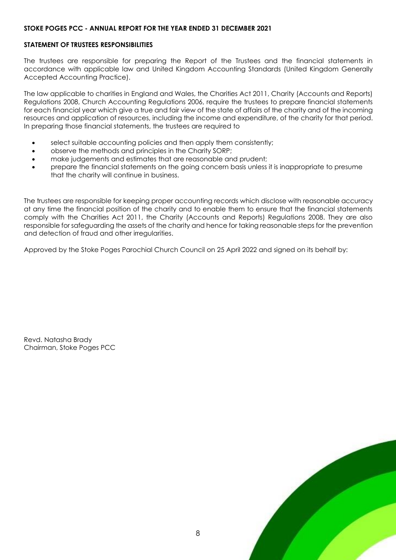#### **STATEMENT OF TRUSTEES RESPONSIBILITIES**

The trustees are responsible for preparing the Report of the Trustees and the financial statements in accordance with applicable law and United Kingdom Accounting Standards (United Kingdom Generally Accepted Accounting Practice).

The law applicable to charities in England and Wales, the Charities Act 2011, Charity (Accounts and Reports) Regulations 2008, Church Accounting Regulations 2006, require the trustees to prepare financial statements for each financial year which give a true and fair view of the state of affairs of the charity and of the incoming resources and application of resources, including the income and expenditure, of the charity for that period. In preparing those financial statements, the trustees are required to

- select suitable accounting policies and then apply them consistently;
- observe the methods and principles in the Charity SORP;
- make judgements and estimates that are reasonable and prudent;
- prepare the financial statements on the going concern basis unless it is inappropriate to presume that the charity will continue in business.

The trustees are responsible for keeping proper accounting records which disclose with reasonable accuracy at any time the financial position of the charity and to enable them to ensure that the financial statements comply with the Charities Act 2011, the Charity (Accounts and Reports) Regulations 2008. They are also responsible for safeguarding the assets of the charity and hence for taking reasonable steps for the prevention and detection of fraud and other irregularities.

Approved by the Stoke Poges Parochial Church Council on 25 April 2022 and signed on its behalf by:

<span id="page-7-0"></span>Revd. Natasha Brady Chairman, Stoke Poges PCC

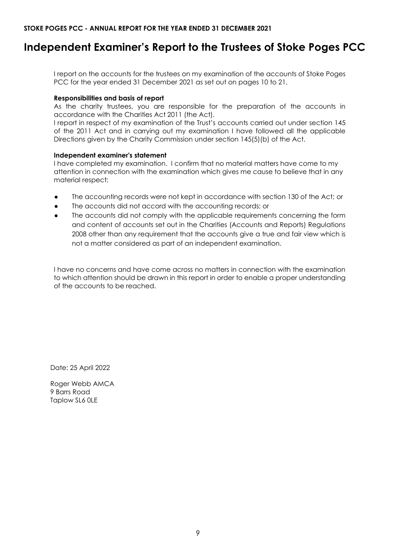# **Independent Examiner's Report to the Trustees of Stoke Poges PCC**

I report on the accounts for the trustees on my examination of the accounts of Stoke Poges PCC for the year ended 31 December 2021 as set out on pages 10 to 21.

#### **Responsibilities and basis of report**

As the charity trustees, you are responsible for the preparation of the accounts in accordance with the Charities Act 2011 (the Act).

I report in respect of my examination of the Trust's accounts carried out under section 145 of the 2011 Act and in carrying out my examination I have followed all the applicable Directions given by the Charity Commission under section 145(5)(b) of the Act.

#### **Independent examiner's statement**

I have completed my examination. I confirm that no material matters have come to my attention in connection with the examination which gives me cause to believe that in any material respect:

- The accounting records were not kept in accordance with section 130 of the Act; or
- The accounts did not accord with the accounting records; or
- The accounts did not comply with the applicable requirements concerning the form and content of accounts set out in the Charities (Accounts and Reports) Regulations 2008 other than any requirement that the accounts give a true and fair view which is not a matter considered as part of an independent examination.

I have no concerns and have come across no matters in connection with the examination to which attention should be drawn in this report in order to enable a proper understanding of the accounts to be reached.

Date: 25 April 2022

Roger Webb AMCA 9 Barrs Road Taplow SL6 0LE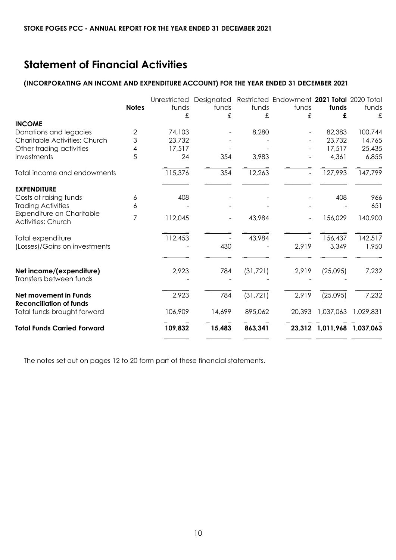# <span id="page-9-0"></span>**Statement of Financial Activities**

#### **(INCORPORATING AN INCOME AND EXPENDITURE ACCOUNT) FOR THE YEAR ENDED 31 DECEMBER 2021**

|                                                                | <b>Notes</b> | Unrestricted<br>funds<br>£ | Designated<br>funds<br>£ | funds<br>£ | Restricted Endowment 2021 Total 2020 Total<br>funds<br>£ | funds<br>£                 | funds<br>£ |
|----------------------------------------------------------------|--------------|----------------------------|--------------------------|------------|----------------------------------------------------------|----------------------------|------------|
| <b>INCOME</b>                                                  |              |                            |                          |            |                                                          |                            |            |
| Donations and legacies                                         | 2            | 74,103                     |                          | 8,280      |                                                          | 82,383                     | 100,744    |
| Charitable Activities: Church                                  | 3            | 23,732                     |                          |            |                                                          | 23,732                     | 14,765     |
| Other trading activities                                       | 4            | 17,517                     |                          |            |                                                          | 17,517                     | 25,435     |
| Investments                                                    | 5            | 24                         | 354                      | 3,983      |                                                          | 4,361                      | 6,855      |
| Total income and endowments                                    |              | 115,376                    | 354                      | 12,263     |                                                          | 127,993                    | 147,799    |
| <b>EXPENDITURE</b>                                             |              |                            |                          |            |                                                          |                            |            |
| Costs of raising funds                                         | 6            | 408                        |                          |            |                                                          | 408                        | 966        |
| <b>Trading Activities</b>                                      | 6            |                            |                          |            |                                                          |                            | 651        |
| Expenditure on Charitable<br><b>Activities: Church</b>         | 7            | 112,045                    |                          | 43,984     |                                                          | 156,029                    | 140,900    |
| Total expenditure                                              |              | 112,453                    |                          | 43,984     |                                                          | 156,437                    | 142,517    |
| (Losses)/Gains on investments                                  |              |                            | 430                      |            | 2,919                                                    | 3,349                      | 1,950      |
| Net income/(expenditure)<br>Transfers between funds            |              | 2,923                      | 784                      | (31, 721)  | 2,919                                                    | (25,095)                   | 7,232      |
|                                                                |              |                            |                          |            |                                                          |                            |            |
| <b>Net movement in Funds</b><br><b>Reconciliation of funds</b> |              | 2,923                      | 784                      | (31, 721)  | 2,919                                                    | (25,095)                   | 7,232      |
| Total funds brought forward                                    |              | 106,909                    | 14,699                   | 895,062    | 20,393                                                   | 1,037,063                  | 1,029,831  |
| <b>Total Funds Carried Forward</b>                             |              | 109,832                    | 15,483                   | 863,341    |                                                          | 23,312 1,011,968 1,037,063 |            |
|                                                                |              |                            |                          |            |                                                          |                            |            |

The notes set out on pages 12 to 20 form part of these financial statements.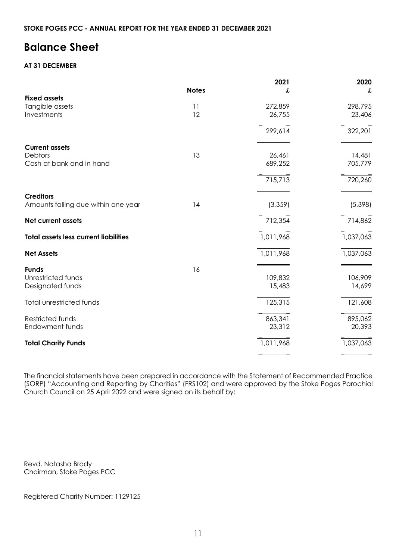# <span id="page-10-0"></span>**Balance Sheet**

#### **AT 31 DECEMBER**

|                                              |              | 2021      | 2020      |
|----------------------------------------------|--------------|-----------|-----------|
|                                              | <b>Notes</b> | £         | £         |
| <b>Fixed assets</b>                          |              |           |           |
| Tangible assets                              | 11           | 272,859   | 298,795   |
| Investments                                  | 12           | 26,755    | 23,406    |
|                                              |              | 299,614   | 322,201   |
| <b>Current assets</b>                        |              |           |           |
| Debtors                                      | 13           | 26,461    | 14,481    |
| Cash at bank and in hand                     |              | 689,252   | 705,779   |
|                                              |              | 715,713   | 720,260   |
| <b>Creditors</b>                             |              |           |           |
| Amounts falling due within one year          | 14           | (3, 359)  | (5,398)   |
| <b>Net current assets</b>                    |              | 712,354   | 714,862   |
| <b>Total assets less current liabilities</b> |              | 1,011,968 | 1,037,063 |
| <b>Net Assets</b>                            |              | 1,011,968 | 1,037,063 |
| <b>Funds</b>                                 | 16           |           |           |
| Unrestricted funds                           |              | 109,832   | 106,909   |
| Designated funds                             |              | 15,483    | 14,699    |
| Total unrestricted funds                     |              | 125,315   | 121,608   |
| Restricted funds                             |              | 863,341   | 895,062   |
| Endowment funds                              |              | 23,312    | 20,393    |
| <b>Total Charity Funds</b>                   |              | 1,011,968 | 1,037,063 |
|                                              |              |           |           |

The financial statements have been prepared in accordance with the Statement of Recommended Practice (SORP) "Accounting and Reporting by Charities" (FRS102) and were approved by the Stoke Poges Parochial Church Council on 25 April 2022 and were signed on its behalf by:

Revd. Natasha Brady Chairman, Stoke Poges PCC

 $\overline{a}$ 

Registered Charity Number: 1129125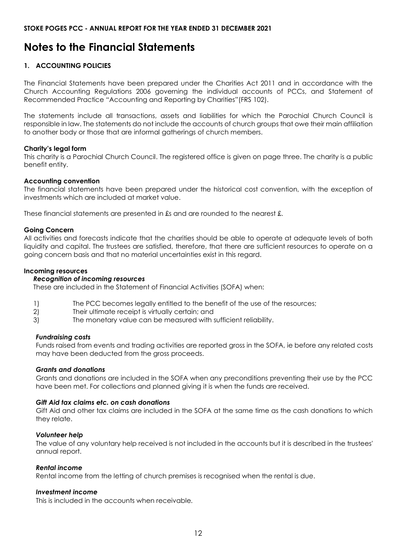# <span id="page-11-0"></span>**Notes to the Financial Statements**

#### **1. ACCOUNTING POLICIES**

The Financial Statements have been prepared under the Charities Act 2011 and in accordance with the Church Accounting Regulations 2006 governing the individual accounts of PCCs, and Statement of Recommended Practice "Accounting and Reporting by Charities"(FRS 102).

The statements include all transactions, assets and liabilities for which the Parochial Church Council is responsible in law. The statements do not include the accounts of church groups that owe their main affiliation to another body or those that are informal gatherings of church members.

#### **Charity's legal form**

This charity is a Parochial Church Council. The registered office is given on page three. The charity is a public benefit entity.

#### **Accounting convention**

The financial statements have been prepared under the historical cost convention, with the exception of investments which are included at market value.

These financial statements are presented in £s and are rounded to the nearest £.

#### **Going Concern**

All activities and forecasts indicate that the charities should be able to operate at adequate levels of both liquidity and capital. The trustees are satisfied, therefore, that there are sufficient resources to operate on a going concern basis and that no material uncertainties exist in this regard.

#### **Incoming resources**

#### *Recognition of incoming resources*

These are included in the Statement of Financial Activities (SOFA) when:

- 1) The PCC becomes legally entitled to the benefit of the use of the resources;
- 2) Their ultimate receipt is virtually certain; and
- 3) The monetary value can be measured with sufficient reliability.

#### *Fundraising costs*

Funds raised from events and trading activities are reported gross in the SOFA, ie before any related costs may have been deducted from the gross proceeds.

#### *Grants and donations*

Grants and donations are included in the SOFA when any preconditions preventing their use by the PCC have been met. For collections and planned giving it is when the funds are received.

#### *Gift Aid tax claims etc. on cash donations*

Gift Aid and other tax claims are included in the SOFA at the same time as the cash donations to which they relate.

#### *Volunteer help*

The value of any voluntary help received is not included in the accounts but it is described in the trustees' annual report.

#### *Rental income*

Rental income from the letting of church premises is recognised when the rental is due.

#### *Investment income*

This is included in the accounts when receivable*.*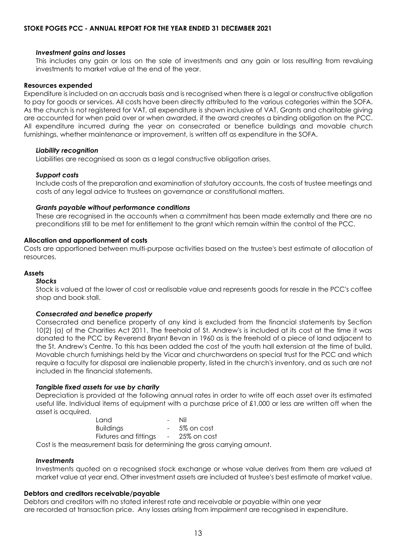#### *Investment gains and losses*

This includes any gain or loss on the sale of investments and any gain or loss resulting from revaluing investments to market value at the end of the year.

#### **Resources expended**

Expenditure is included on an accruals basis and is recognised when there is a legal or constructive obligation to pay for goods or services. All costs have been directly attributed to the various categories within the SOFA. As the church is not registered for VAT, all expenditure is shown inclusive of VAT. Grants and charitable giving are accounted for when paid over or when awarded, if the award creates a binding obligation on the PCC. All expenditure incurred during the year on consecrated or benefice buildings and movable church furnishings, whether maintenance or improvement, is written off as expenditure in the SOFA.

#### *Liability recognition*

Liabilities are recognised as soon as a legal constructive obligation arises.

#### *Support costs*

Include costs of the preparation and examination of statutory accounts, the costs of trustee meetings and costs of any legal advice to trustees on governance or constitutional matters.

#### *Grants payable without performance conditions*

These are recognised in the accounts when a commitment has been made externally and there are no preconditions still to be met for entitlement to the grant which remain within the control of the PCC.

#### **Allocation and apportionment of costs**

Costs are apportioned between multi-purpose activities based on the trustee's best estimate of allocation of resources.

#### **Assets**

#### *Stocks*

Stock is valued at the lower of cost or realisable value and represents goods for resale in the PCC's coffee shop and book stall.

#### *Consecrated and benefice property*

Consecrated and benefice property of any kind is excluded from the financial statements by Section 10(2) (a) of the Charities Act 2011. The freehold of St. Andrew's is included at its cost at the time it was donated to the PCC by Reverend Bryant Bevan in 1960 as is the freehold of a piece of land adjacent to the St. Andrew's Centre. To this has been added the cost of the youth hall extension at the time of build. Movable church furnishings held by the Vicar and churchwardens on special trust for the PCC and which require a faculty for disposal are inalienable property, listed in the church's inventory, and as such are not included in the financial statements.

#### *Tangible fixed assets for use by charity*

Depreciation is provided at the following annual rates in order to write off each asset over its estimated useful life. Individual items of equipment with a purchase price of £1,000 or less are written off when the asset is acquired.

| Tand                  | $\sim$          | Nil         |
|-----------------------|-----------------|-------------|
| <b>Buildings</b>      | $\sim$ 10 $\pm$ | 5% on cost  |
| Fixtures and fittings | $\sim$ 10 $\pm$ | 25% on cost |

Cost is the measurement basis for determining the gross carrying amount.

#### *Investments*

Investments quoted on a recognised stock exchange or whose value derives from them are valued at market value at year end. Other investment assets are included at trustee's best estimate of market value.

#### **Debtors and creditors receivable/payable**

Debtors and creditors with no stated interest rate and receivable or payable within one year are recorded at transaction price. Any losses arising from impairment are recognised in expenditure.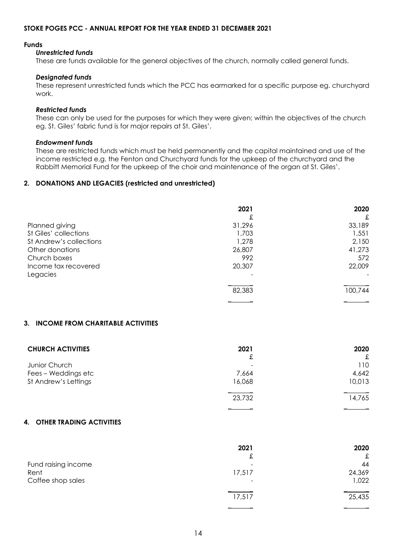#### **Funds**

#### *Unrestricted funds*

These are funds available for the general objectives of the church, normally called general funds.

#### *Designated funds*

These represent unrestricted funds which the PCC has earmarked for a specific purpose eg. churchyard work.

#### *Restricted funds*

These can only be used for the purposes for which they were given; within the objectives of the church eg. St. Giles' fabric fund is for major repairs at St. Giles'.

#### *Endowment funds*

These are restricted funds which must be held permanently and the capital maintained and use of the income restricted e.g. the Fenton and Churchyard funds for the upkeep of the churchyard and the Rabbitt Memorial Fund for the upkeep of the choir and maintenance of the organ at St. Giles'.

#### **2. DONATIONS AND LEGACIES (restricted and unrestricted)**

|                         | 2021   | 2020    |
|-------------------------|--------|---------|
|                         | £      | £       |
| Planned giving          | 31,296 | 33,189  |
| St Giles' collections   | 1,703  | 1,551   |
| St Andrew's collections | 1,278  | 2,150   |
| Other donations         | 26,807 | 41,273  |
| Church boxes            | 992    | 572     |
| Income tax recovered    | 20,307 | 22,009  |
| Legacies                |        |         |
|                         | 82,383 | 100,744 |
|                         |        |         |

#### **3. INCOME FROM CHARITABLE ACTIVITIES**

| <b>CHURCH ACTIVITIES</b> | 2021   | 2020   |
|--------------------------|--------|--------|
|                          | £      | £      |
| Junior Church            | -      | 110    |
| Fees - Weddings etc      | 7,664  | 4,642  |
| St Andrew's Lettings     | 16,068 | 10,013 |
|                          | 23,732 | 14,765 |
|                          |        |        |

#### **4. OTHER TRADING ACTIVITIES**

|                     | 2021                         | 2020   |
|---------------------|------------------------------|--------|
|                     | £                            | £      |
| Fund raising income | -                            | 44     |
| Rent                | 17,517                       | 24,369 |
| Coffee shop sales   | $\qquad \qquad \blacksquare$ | 1,022  |
|                     | 17,517                       | 25,435 |
|                     |                              |        |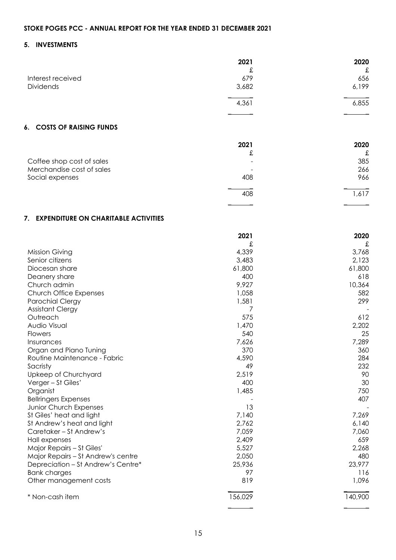#### **5. INVESTMENTS**

|                   | 2021  | 2020  |
|-------------------|-------|-------|
|                   | £     | £     |
| Interest received | 679   | 656   |
| Dividends         | 3,682 | 6,199 |
|                   | 4,361 | 6,855 |
|                   |       |       |

#### **6. COSTS OF RAISING FUNDS**

|                           | 2021                     | 2020  |
|---------------------------|--------------------------|-------|
|                           | £                        | £     |
| Coffee shop cost of sales |                          | 385   |
| Merchandise cost of sales | $\overline{\phantom{0}}$ | 266   |
| Social expenses           | 408                      | 966   |
|                           | 408                      | 1,617 |
|                           |                          |       |

#### **7. EXPENDITURE ON CHARITABLE ACTIVITIES**

|                                    | 2021    | 2020    |
|------------------------------------|---------|---------|
|                                    | £       | £       |
| Mission Giving                     | 4,339   | 3,768   |
| Senior citizens                    | 3,483   | 2,123   |
| Diocesan share                     | 61,800  | 61,800  |
| Deanery share                      | 400     | 618     |
| Church admin                       | 9,927   | 10,364  |
| Church Office Expenses             | 1,058   | 582     |
| <b>Parochial Clergy</b>            | 1,581   | 299     |
| <b>Assistant Clergy</b>            | 7       |         |
| Outreach                           | 575     | 612     |
| Audio Visual                       | 1,470   | 2,202   |
| <b>Flowers</b>                     | 540     | 25      |
| Insurances                         | 7,626   | 7,289   |
| Organ and Piano Tuning             | 370     | 360     |
| Routine Maintenance - Fabric       | 4,590   | 284     |
| Sacristy                           | 49      | 232     |
| Upkeep of Churchyard               | 2,519   | 90      |
| Verger - St Giles'                 | 400     | 30      |
| Organist                           | 1,485   | 750     |
| <b>Bellringers Expenses</b>        |         | 407     |
| Junior Church Expenses             | 13      |         |
| St Giles' heat and light           | 7,140   | 7,269   |
| St Andrew's heat and light         | 2,762   | 6,140   |
| Caretaker - St Andrew's            | 7,059   | 7,060   |
| Hall expenses                      | 2,409   | 659     |
| Major Repairs - St Giles'          | 5,527   | 2,268   |
| Major Repairs - St Andrew's centre | 2,050   | 480     |
| Depreciation - St Andrew's Centre* | 25,936  | 23,977  |
| <b>Bank charges</b>                | 97      | 116     |
| Other management costs             | 819     | 1,096   |
| * Non-cash item                    | 156,029 | 140,900 |
|                                    |         |         |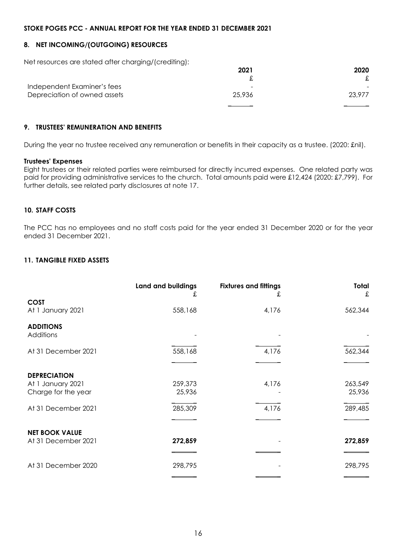#### **8. NET INCOMING/(OUTGOING) RESOURCES**

Net resources are stated after charging/(crediting):

|                              | 2021                     | 2020   |
|------------------------------|--------------------------|--------|
|                              |                          |        |
| Independent Examiner's fees  | $\overline{\phantom{0}}$ |        |
| Depreciation of owned assets | 25.936                   | 23.977 |
|                              |                          |        |

#### **9. TRUSTEES' REMUNERATION AND BENEFITS**

During the year no trustee received any remuneration or benefits in their capacity as a trustee. (2020: £nil).

#### **Trustees' Expenses**

Eight trustees or their related parties were reimbursed for directly incurred expenses. One related party was paid for providing administrative services to the church. Total amounts paid were £12,424 (2020: £7,799). For further details, see related party disclosures at note 17.

#### **10. STAFF COSTS**

The PCC has no employees and no staff costs paid for the year ended 31 December 2020 or for the year ended 31 December 2021.

#### **11. TANGIBLE FIXED ASSETS**

|                                                                 | Land and buildings<br>£ | <b>Fixtures and fittings</b><br>£ | Total<br>£        |
|-----------------------------------------------------------------|-------------------------|-----------------------------------|-------------------|
| <b>COST</b><br>At 1 January 2021                                | 558,168                 | 4,176                             | 562,344           |
| <b>ADDITIONS</b><br>Additions                                   |                         |                                   |                   |
| At 31 December 2021                                             | 558,168                 | 4,176                             | 562,344           |
| <b>DEPRECIATION</b><br>At 1 January 2021<br>Charge for the year | 259,373<br>25,936       | 4,176                             | 263,549<br>25,936 |
| At 31 December 2021                                             | 285,309                 | 4,176                             | 289,485           |
| <b>NET BOOK VALUE</b><br>At 31 December 2021                    | 272,859                 |                                   | 272,859           |
| At 31 December 2020                                             | 298,795                 |                                   | 298,795           |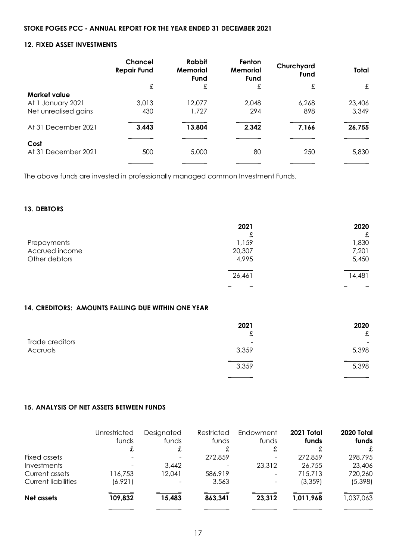#### **12. FIXED ASSET INVESTMENTS**

|                             | <b>Chancel</b><br><b>Repair Fund</b> | <b>Rabbit</b><br><b>Memorial</b><br>Fund | Fenton<br><b>Memorial</b><br><b>Fund</b> | Churchyard<br>Fund | <b>Total</b> |
|-----------------------------|--------------------------------------|------------------------------------------|------------------------------------------|--------------------|--------------|
|                             | £                                    | £                                        | £                                        | £                  | £            |
| Market value                |                                      |                                          |                                          |                    |              |
| At 1 January 2021           | 3,013                                | 12,077                                   | 2,048                                    | 6,268              | 23,406       |
| Net unrealised gains        | 430                                  | 1,727                                    | 294                                      | 898                | 3,349        |
| At 31 December 2021         | 3,443                                | 13,804                                   | 2,342                                    | 7,166              | 26,755       |
|                             |                                      |                                          |                                          |                    |              |
| Cost<br>At 31 December 2021 | 500                                  | 5,000                                    | 80                                       | 250                | 5,830        |
|                             |                                      |                                          |                                          |                    |              |

The above funds are invested in professionally managed common Investment Funds.

#### **13. DEBTORS**

|                | 2021   | 2020   |
|----------------|--------|--------|
|                | £      | £      |
| Prepayments    | 1,159  | 1,830  |
| Accrued income | 20,307 | 7,201  |
| Other debtors  | 4,995  | 5,450  |
|                | 26,461 | 14,481 |
|                |        |        |

#### **14. CREDITORS: AMOUNTS FALLING DUE WITHIN ONE YEAR**

|                 | 2021   | 2020  |
|-----------------|--------|-------|
|                 | ⌒<br>£ | £     |
| Trade creditors | -      | -     |
| Accruals        | 3,359  | 5,398 |
|                 | 3,359  | 5,398 |
|                 |        |       |

#### **15. ANALYSIS OF NET ASSETS BETWEEN FUNDS**

|                            | Unrestricted<br>funds<br>£ | Designated<br>funds<br>£ | Restricted<br>funds | Endowment<br>funds<br>£ | 2021 Total<br>funds<br>£ | 2020 Total<br>funds<br>£ |
|----------------------------|----------------------------|--------------------------|---------------------|-------------------------|--------------------------|--------------------------|
| Fixed assets               |                            |                          | 272,859             |                         | 272,859                  | 298,795                  |
| Investments                |                            | 3,442                    |                     | 23,312                  | 26,755                   | 23,406                   |
| Current assets             | 116,753                    | 12,041                   | 586,919             |                         | 715,713                  | 720,260                  |
| <b>Current liabilities</b> | (6,921)                    | $\overline{\phantom{a}}$ | 3,563               |                         | (3,359)                  | (5,398)                  |
| Net assets                 | 109,832                    | 15,483                   | 863,341             | 23,312                  | 1,011,968                | 1,037,063                |
|                            |                            |                          |                     |                         |                          |                          |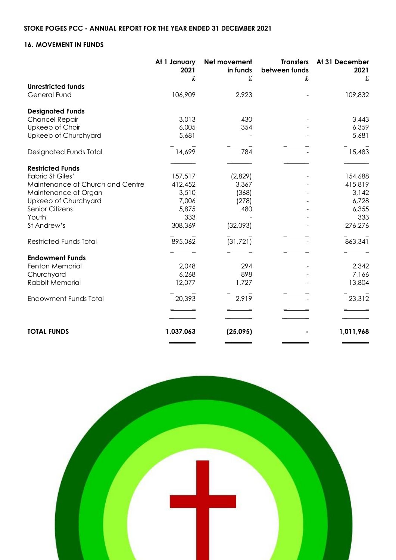#### **16. MOVEMENT IN FUNDS**

|                                  | At 1 January<br>2021 | Net movement<br>in funds | <b>Transfers</b><br>between funds | At 31 December<br>2021 |
|----------------------------------|----------------------|--------------------------|-----------------------------------|------------------------|
|                                  | £                    | £                        | £                                 | £                      |
| <b>Unrestricted funds</b>        |                      |                          |                                   |                        |
| <b>General Fund</b>              | 106,909              | 2,923                    |                                   | 109,832                |
| <b>Designated Funds</b>          |                      |                          |                                   |                        |
| <b>Chancel Repair</b>            | 3,013                | 430                      |                                   | 3,443                  |
| Upkeep of Choir                  | 6,005                | 354                      |                                   | 6,359                  |
| Upkeep of Churchyard             | 5,681                |                          |                                   | 5,681                  |
| Designated Funds Total           | 14,699               | 784                      |                                   | 15,483                 |
|                                  |                      |                          |                                   |                        |
| <b>Restricted Funds</b>          |                      |                          |                                   |                        |
| <b>Fabric St Giles'</b>          | 157,517              | (2,829)                  |                                   | 154,688                |
| Maintenance of Church and Centre | 412,452              | 3,367                    |                                   | 415,819                |
| Maintenance of Organ             | 3,510                | (368)                    |                                   | 3,142                  |
| Upkeep of Churchyard             | 7,006                | (278)                    |                                   | 6,728                  |
| <b>Senior Citizens</b>           | 5,875                | 480                      |                                   | 6,355                  |
| Youth                            | 333                  |                          |                                   | 333                    |
| St Andrew's                      | 308,369              | (32,093)                 |                                   | 276,276                |
| <b>Restricted Funds Total</b>    | 895,062              | (31, 721)                |                                   | 863,341                |
| <b>Endowment Funds</b>           |                      |                          |                                   |                        |
| Fenton Memorial                  | 2,048                | 294                      |                                   | 2,342                  |
| Churchyard                       | 6,268                | 898                      |                                   | 7,166                  |
| Rabbit Memorial                  | 12,077               | 1,727                    |                                   | 13,804                 |
| <b>Endowment Funds Total</b>     | 20,393               | 2,919                    |                                   | 23,312                 |
|                                  |                      |                          |                                   |                        |
|                                  |                      |                          |                                   |                        |
| <b>TOTAL FUNDS</b>               | 1,037,063            | (25,095)                 |                                   | 1,011,968              |
|                                  |                      |                          |                                   |                        |

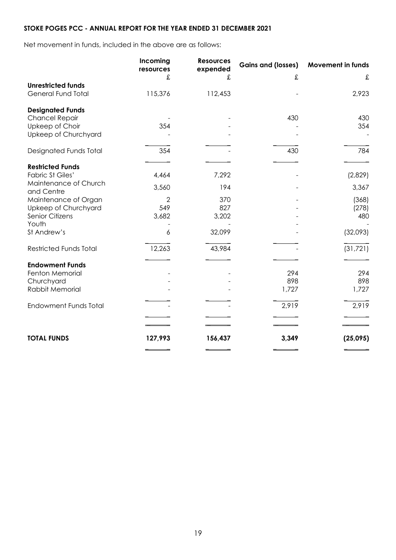Net movement in funds, included in the above are as follows:

|                                                        | Incoming<br>resources | <b>Resources</b><br>expended | <b>Gains and (losses)</b> | <b>Movement in funds</b> |
|--------------------------------------------------------|-----------------------|------------------------------|---------------------------|--------------------------|
|                                                        | £                     | £                            | £                         | £                        |
| <b>Unrestricted funds</b><br><b>General Fund Total</b> | 115,376               | 112,453                      |                           | 2,923                    |
| <b>Designated Funds</b>                                |                       |                              |                           |                          |
| <b>Chancel Repair</b>                                  |                       |                              | 430                       | 430                      |
| Upkeep of Choir                                        | 354                   |                              |                           | 354                      |
| Upkeep of Churchyard                                   |                       |                              |                           |                          |
| Designated Funds Total                                 | 354                   |                              | 430                       | 784                      |
| <b>Restricted Funds</b>                                |                       |                              |                           |                          |
| <b>Fabric St Giles'</b>                                | 4,464                 | 7,292                        |                           | (2,829)                  |
| Maintenance of Church                                  |                       |                              |                           |                          |
| and Centre                                             | 3,560                 | 194                          |                           | 3,367                    |
| Maintenance of Organ                                   | 2                     | 370                          |                           | (368)                    |
| Upkeep of Churchyard                                   | 549                   | 827                          |                           | (278)                    |
| <b>Senior Citizens</b>                                 | 3,682                 | 3,202                        |                           | 480                      |
| Youth                                                  |                       |                              |                           |                          |
| St Andrew's                                            | 6                     | 32,099                       |                           | (32,093)                 |
| <b>Restricted Funds Total</b>                          | 12,263                | 43,984                       |                           | (31, 721)                |
| <b>Endowment Funds</b>                                 |                       |                              |                           |                          |
| Fenton Memorial                                        |                       |                              | 294                       | 294                      |
| Churchyard                                             |                       |                              | 898                       | 898                      |
| Rabbit Memorial                                        |                       |                              | 1,727                     | 1,727                    |
| <b>Endowment Funds Total</b>                           |                       |                              | 2,919                     | 2,919                    |
|                                                        |                       |                              |                           |                          |
|                                                        |                       |                              |                           |                          |
| <b>TOTAL FUNDS</b>                                     | 127,993               | 156,437                      | 3,349                     | (25,095)                 |
|                                                        |                       |                              |                           |                          |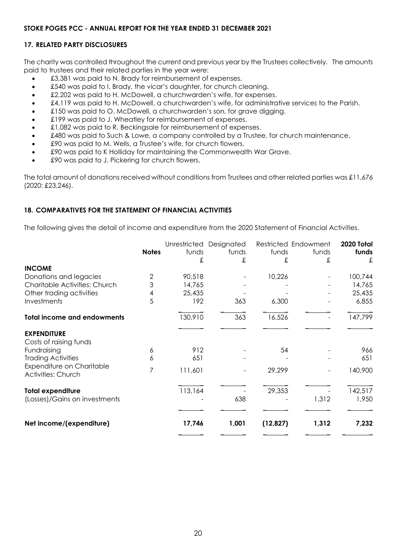#### **17. RELATED PARTY DISCLOSURES**

The charity was controlled throughout the current and previous year by the Trustees collectively. The amounts paid to trustees and their related parties in the year were:

- £3,381 was paid to N. Brady for reimbursement of expenses.
- £540 was paid to I. Brady, the vicar's daughter, for church cleaning.
- £2,202 was paid to H. McDowell, a churchwarden's wife, for expenses.
- £4,119 was paid to H. McDowell, a churchwarden's wife, for administrative services to the Parish.
- £150 was paid to O. McDowell, a churchwarden's son, for grave digging.
- £199 was paid to J. Wheatley for reimbursement of expenses.
- £1,082 was paid to R. Beckingsale for reimbursement of expenses.
- £480 was paid to Such & Lowe, a company controlled by a Trustee, for church maintenance.
- £90 was paid to M. Wells, a Trustee's wife, for church flowers.
- £90 was paid to K Holliday for maintaining the Commonwealth War Grave.
- £90 was paid to J. Pickering for church flowers.

The total amount of donations received without conditions from Trustees and other related parties was £11,676 (2020: £23,246).

#### **18. COMPARATIVES FOR THE STATEMENT OF FINANCIAL ACTIVITIES**

The following gives the detail of income and expenditure from the 2020 Statement of Financial Activities.

|                                                           | <b>Notes</b> | funds<br>£ | Unrestricted Designated<br>funds<br>£ | funds<br>£ | Restricted Endowment<br>funds<br>£ | 2020 Total<br>funds<br>£ |
|-----------------------------------------------------------|--------------|------------|---------------------------------------|------------|------------------------------------|--------------------------|
| <b>INCOME</b>                                             |              |            |                                       |            |                                    |                          |
| Donations and legacies                                    | 2            | 90,518     |                                       | 10,226     |                                    | 100,744                  |
| Charitable Activities: Church                             | 3            | 14,765     |                                       |            |                                    | 14,765                   |
| Other trading activities                                  | 4            | 25,435     |                                       |            |                                    | 25,435                   |
| Investments                                               | 5            | 192        | 363                                   | 6,300      |                                    | 6,855                    |
| <b>Total income and endowments</b>                        |              | 130,910    | 363                                   | 16,526     |                                    | 147,799                  |
| <b>EXPENDITURE</b><br>Costs of raising funds              |              |            |                                       |            |                                    |                          |
| Fundraising                                               | 6            | 912        |                                       | 54         |                                    | 966                      |
| <b>Trading Activities</b>                                 | 6            | 651        |                                       |            |                                    | 651                      |
| Expenditure on Charitable<br><b>Activities: Church</b>    | 7            | 111,601    |                                       | 29,299     |                                    | 140,900                  |
| <b>Total expenditure</b><br>(Losses)/Gains on investments |              | 113,164    | 638                                   | 29,353     | 1,312                              | 142,517<br>1,950         |
|                                                           |              |            |                                       |            |                                    |                          |
| Net income/(expenditure)                                  |              | 17,746     | 1,001                                 | (12, 827)  | 1,312                              | 7,232                    |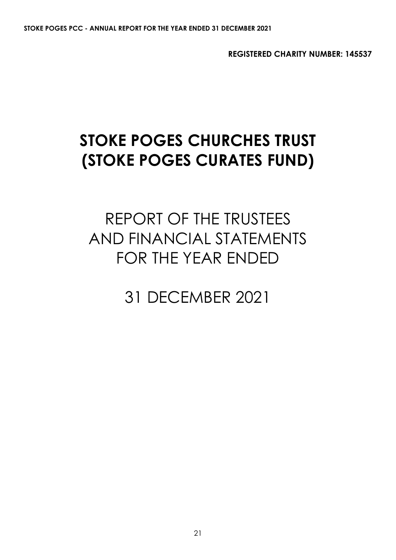**REGISTERED CHARITY NUMBER: 145537**

# **STOKE POGES CHURCHES TRUST (STOKE POGES CURATES FUND)**

# REPORT OF THE TRUSTEES AND FINANCIAL STATEMENTS FOR THE YEAR ENDED

31 DECEMBER 2021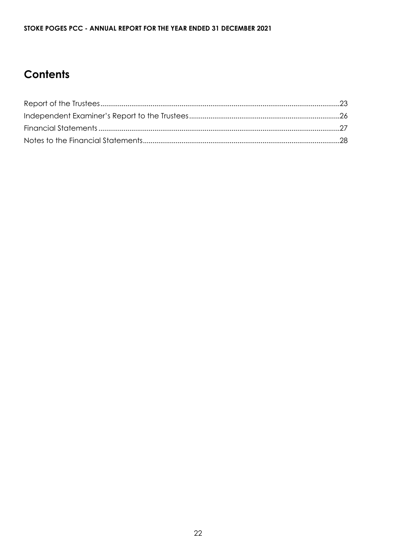# **Contents**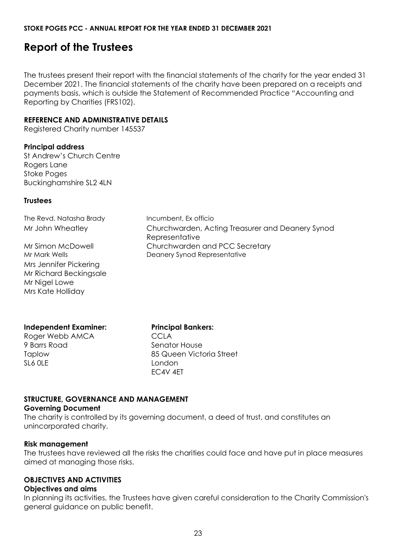# <span id="page-22-0"></span>**Report of the Trustees**

The trustees present their report with the financial statements of the charity for the year ended 31 December 2021. The financial statements of the charity have been prepared on a receipts and payments basis, which is outside the Statement of Recommended Practice "Accounting and Reporting by Charities (FRS102).

#### **REFERENCE AND ADMINISTRATIVE DETAILS**

Registered Charity number 145537

#### **Principal address**

St Andrew's Church Centre Rogers Lane Stoke Poges Buckinghamshire SL2 4LN

#### **Trustees**

The Revd. Natasha Brady Incumbent, Ex officio Mr John Wheatley Churchwarden, Acting Treasurer and Deanery Synod **Representative** Mr Simon McDowell Churchwarden and PCC Secretary Mr Mark Wells **Deanery Synod Representative** 

Mrs Jennifer Pickering Mr Richard Beckingsale Mr Nigel Lowe Mrs Kate Holliday

**Independent Examiner:**

Roger Webb AMCA 9 Barrs Road Taplow SL6 0LE

**Principal Bankers:** CCLA Senator House 85 Queen Victoria Street London EC4V 4ET

### **STRUCTURE, GOVERNANCE AND MANAGEMENT**

#### **Governing Document**

The charity is controlled by its governing document, a deed of trust, and constitutes an unincorporated charity.

#### **Risk management**

The trustees have reviewed all the risks the charities could face and have put in place measures aimed at managing those risks.

#### **OBJECTIVES AND ACTIVITIES**

#### **Objectives and aims**

In planning its activities, the Trustees have given careful consideration to the Charity Commission's general guidance on public benefit.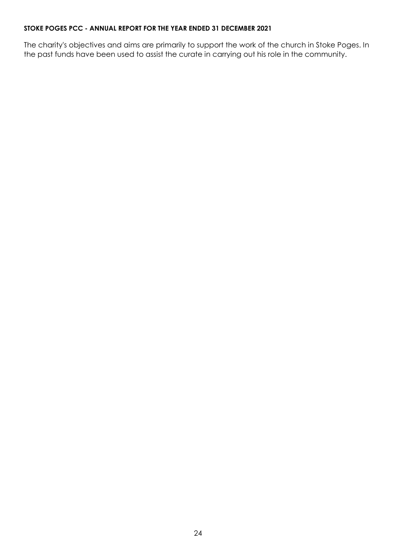The charity's objectives and aims are primarily to support the work of the church in Stoke Poges. In the past funds have been used to assist the curate in carrying out his role in the community.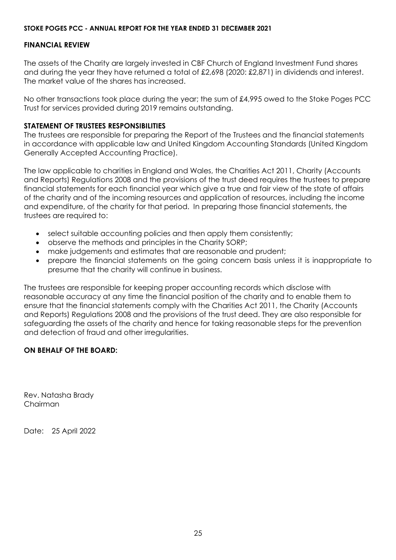#### **FINANCIAL REVIEW**

The assets of the Charity are largely invested in CBF Church of England Investment Fund shares and during the year they have returned a total of £2,698 (2020: £2,871) in dividends and interest. The market value of the shares has increased.

No other transactions took place during the year; the sum of £4,995 owed to the Stoke Poges PCC Trust for services provided during 2019 remains outstanding.

#### **STATEMENT OF TRUSTEES RESPONSIBILITIES**

The trustees are responsible for preparing the Report of the Trustees and the financial statements in accordance with applicable law and United Kingdom Accounting Standards (United Kingdom Generally Accepted Accounting Practice).

The law applicable to charities in England and Wales, the Charities Act 2011, Charity (Accounts and Reports) Regulations 2008 and the provisions of the trust deed requires the trustees to prepare financial statements for each financial year which give a true and fair view of the state of affairs of the charity and of the incoming resources and application of resources, including the income and expenditure, of the charity for that period. In preparing those financial statements, the trustees are required to:

- select suitable accounting policies and then apply them consistently;
- observe the methods and principles in the Charity SORP;
- make judgements and estimates that are reasonable and prudent;
- prepare the financial statements on the going concern basis unless it is inappropriate to presume that the charity will continue in business.

The trustees are responsible for keeping proper accounting records which disclose with reasonable accuracy at any time the financial position of the charity and to enable them to ensure that the financial statements comply with the Charities Act 2011, the Charity (Accounts and Reports) Regulations 2008 and the provisions of the trust deed. They are also responsible for safeguarding the assets of the charity and hence for taking reasonable steps for the prevention and detection of fraud and other irregularities.

#### **ON BEHALF OF THE BOARD:**

Rev. Natasha Brady Chairman

Date: 25 April 2022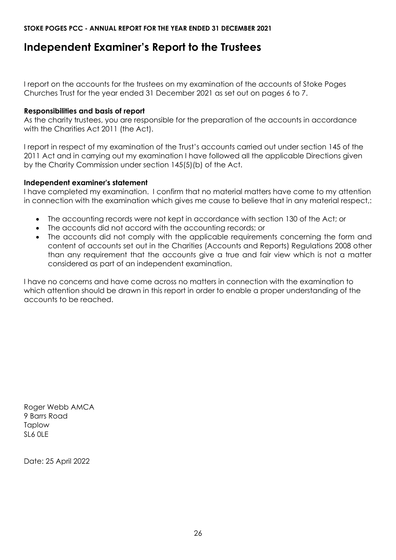# <span id="page-25-0"></span>**Independent Examiner's Report to the Trustees**

I report on the accounts for the trustees on my examination of the accounts of Stoke Poges Churches Trust for the year ended 31 December 2021 as set out on pages 6 to 7.

#### **Responsibilities and basis of report**

As the charity trustees, you are responsible for the preparation of the accounts in accordance with the Charities Act 2011 (the Act).

I report in respect of my examination of the Trust's accounts carried out under section 145 of the 2011 Act and in carrying out my examination I have followed all the applicable Directions given by the Charity Commission under section 145(5)(b) of the Act.

#### **Independent examiner's statement**

I have completed my examination. I confirm that no material matters have come to my attention in connection with the examination which gives me cause to believe that in any material respect,:

- The accounting records were not kept in accordance with section 130 of the Act; or
- The accounts did not accord with the accounting records; or
- The accounts did not comply with the applicable requirements concerning the form and content of accounts set out in the Charities (Accounts and Reports) Regulations 2008 other than any requirement that the accounts give a true and fair view which is not a matter considered as part of an independent examination.

I have no concerns and have come across no matters in connection with the examination to which attention should be drawn in this report in order to enable a proper understanding of the accounts to be reached.

Roger Webb AMCA 9 Barrs Road Taplow SL6 0LE

Date: 25 April 2022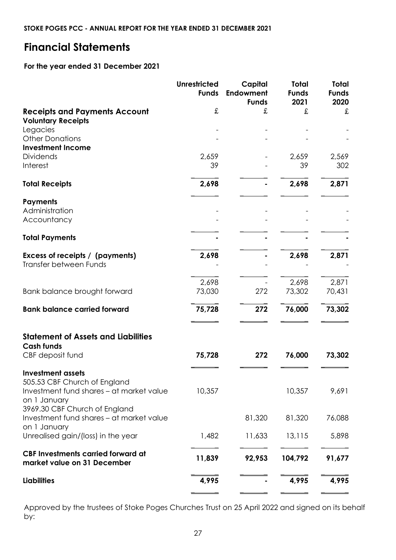# <span id="page-26-0"></span>**Financial Statements**

#### **For the year ended 31 December 2021**

|                                                                                                                      | <b>Unrestricted</b><br><b>Funds</b> | Capital<br><b>Endowment</b><br><b>Funds</b> | <b>Total</b><br><b>Funds</b><br>2021 | <b>Total</b><br><b>Funds</b><br>2020 |
|----------------------------------------------------------------------------------------------------------------------|-------------------------------------|---------------------------------------------|--------------------------------------|--------------------------------------|
| <b>Receipts and Payments Account</b><br><b>Voluntary Receipts</b>                                                    | £                                   | £                                           | £                                    | £                                    |
| Legacies<br><b>Other Donations</b><br><b>Investment Income</b>                                                       |                                     |                                             |                                      |                                      |
| <b>Dividends</b><br>Interest                                                                                         | 2,659<br>39                         |                                             | 2,659<br>39                          | 2,569<br>302                         |
| <b>Total Receipts</b>                                                                                                | 2,698                               |                                             | 2,698                                | 2,871                                |
| <b>Payments</b><br>Administration<br>Accountancy                                                                     |                                     |                                             |                                      |                                      |
| <b>Total Payments</b>                                                                                                |                                     |                                             |                                      |                                      |
| Excess of receipts / (payments)<br><b>Transfer between Funds</b>                                                     | 2,698                               |                                             | 2,698                                | 2,871                                |
| Bank balance brought forward                                                                                         | 2,698<br>73,030                     | 272                                         | 2,698<br>73,302                      | 2,871<br>70,431                      |
| <b>Bank balance carried forward</b>                                                                                  | 75,728                              | 272                                         | 76,000                               | 73,302                               |
| <b>Statement of Assets and Liabilities</b><br><b>Cash funds</b>                                                      |                                     |                                             |                                      |                                      |
| CBF deposit fund                                                                                                     | 75,728                              | 272                                         | 76,000                               | 73,302                               |
| <b>Investment assets</b><br>505.53 CBF Church of England<br>Investment fund shares - at market value<br>on 1 January | 10,357                              |                                             | 10,357                               | 9,691                                |
| 3969.30 CBF Church of England<br>Investment fund shares – at market value<br>on 1 January                            |                                     | 81,320                                      | 81,320                               | 76,088                               |
| Unrealised gain/(loss) in the year                                                                                   | 1,482                               | 11,633                                      | 13,115                               | 5,898                                |
| <b>CBF Investments carried forward at</b><br>market value on 31 December                                             | 11,839                              | 92,953                                      | 104,792                              | 91,677                               |
| <b>Liabilities</b>                                                                                                   | 4,995                               |                                             | 4,995                                | 4,995                                |

Approved by the trustees of Stoke Poges Churches Trust on 25 April 2022 and signed on its behalf by: